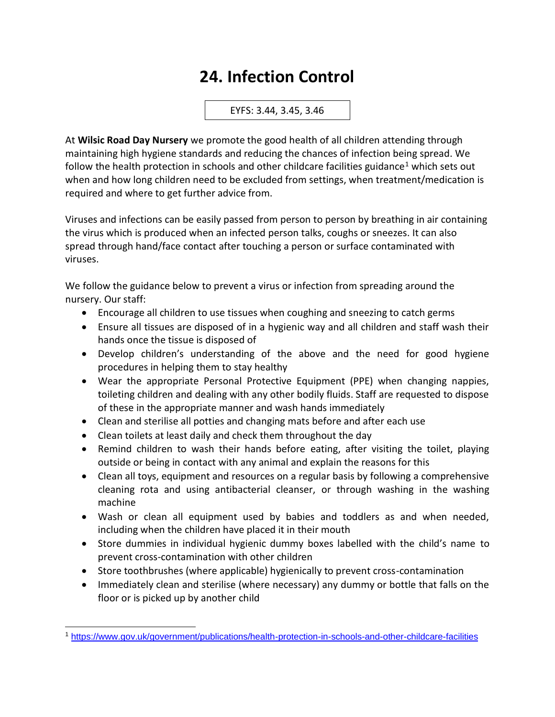## **24. Infection Control**

EYFS: 3.44, 3.45, 3.46

At **Wilsic Road Day Nursery** we promote the good health of all children attending through maintaining high hygiene standards and reducing the chances of infection being spread. We follow the health protection in schools and other childcare facilities guidance<sup>1</sup> which sets out when and how long children need to be excluded from settings, when treatment/medication is required and where to get further advice from.

Viruses and infections can be easily passed from person to person by breathing in air containing the virus which is produced when an infected person talks, coughs or sneezes. It can also spread through hand/face contact after touching a person or surface contaminated with viruses.

We follow the guidance below to prevent a virus or infection from spreading around the nursery. Our staff:

- Encourage all children to use tissues when coughing and sneezing to catch germs
- Ensure all tissues are disposed of in a hygienic way and all children and staff wash their hands once the tissue is disposed of
- Develop children's understanding of the above and the need for good hygiene procedures in helping them to stay healthy
- Wear the appropriate Personal Protective Equipment (PPE) when changing nappies, toileting children and dealing with any other bodily fluids. Staff are requested to dispose of these in the appropriate manner and wash hands immediately
- Clean and sterilise all potties and changing mats before and after each use
- Clean toilets at least daily and check them throughout the day
- Remind children to wash their hands before eating, after visiting the toilet, playing outside or being in contact with any animal and explain the reasons for this
- Clean all toys, equipment and resources on a regular basis by following a comprehensive cleaning rota and using antibacterial cleanser, or through washing in the washing machine
- Wash or clean all equipment used by babies and toddlers as and when needed, including when the children have placed it in their mouth
- Store dummies in individual hygienic dummy boxes labelled with the child's name to prevent cross-contamination with other children
- Store toothbrushes (where applicable) hygienically to prevent cross-contamination
- Immediately clean and sterilise (where necessary) any dummy or bottle that falls on the floor or is picked up by another child

<sup>1</sup> <https://www.gov.uk/government/publications/health-protection-in-schools-and-other-childcare-facilities>